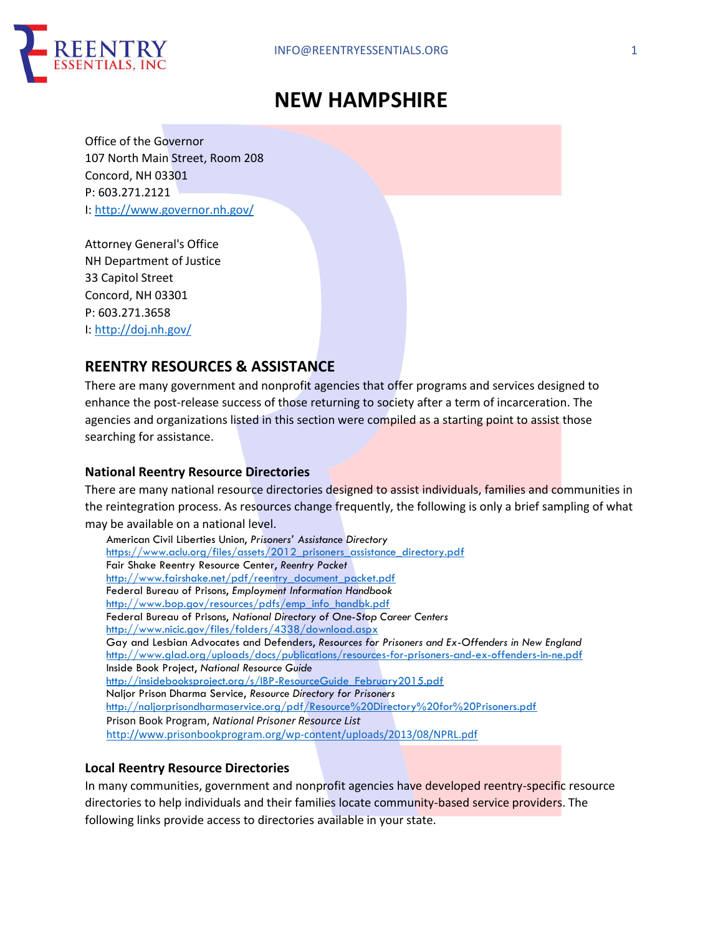

# **NEW HAMPSHIRE**

Office of the Governor 107 North Main Street, Room 208 Concord, NH 03301 P: 603.271.2121 I: http://www.governor.nh.gov/

Attorney General's Office NH Department of Justice 33 Capitol Street Concord, NH 03301 P: 603.271.3658 I: http://doj.nh.gov/

# **REENTRY RESOURCES & ASSISTANCE**

There are many government and nonprofit agencies that offer programs and services designed to enhance the post-release success of those returning to society after a term of incarceration. The agencies and organizations listed in this section were compiled as a starting point to assist those searching for assistance.

# **National Reentry Resource Directories**

There are many national resource directories designed to assist individuals, families and communities in the reintegration process. As resources change frequently, the following is only a brief sampling of what may be available on a national level.

American Civil Liberties Union, *Prisoners' Assistance Directory* https://www.aclu.org/files/assets/2012 prisoners\_assistance\_directory.pdf Fair Shake Reentry Resource Center, *Reentry Packet* http://www.fairshake.net/pdf/reentry\_document\_packet.pdf Federal Bureau of Prisons, *Employment Information Handbook* http://www.bop.gov/resources/pdfs/emp\_info\_handbk.pdf Federal Bureau of Prisons, *National Directory of One-Stop Career Centers* http://www.nicic.gov/files/folders/4338/download.aspx Gay and Lesbian Advocates and Defenders, *Resources for Prisoners and Ex-Offenders in New England* http://www.glad.org/uploads/docs/publications/resources-for-prisoners-and-ex-offenders-in-ne.pdf Inside Book Project, *National Resource Guide* http://insidebooksproject.org/s/IBP-ResourceGuide\_February2015.pdf Naljor Prison Dharma Service, *Resource Directory for Prisoners* http://naljorprisondharmaservice.org/pdf/Resource%20Directory%20for%20Prisoners.pdf Prison Book Program, *National Prisoner Resource List* http://www.prisonbookprogram.org/wp-content/uploads/2013/08/NPRL.pdf

## **Local Reentry Resource Directories**

In many communities, government and nonprofit agencies have developed reentry-specific resource directories to help individuals and their families locate community-based service providers. The following links provide access to directories available in your state.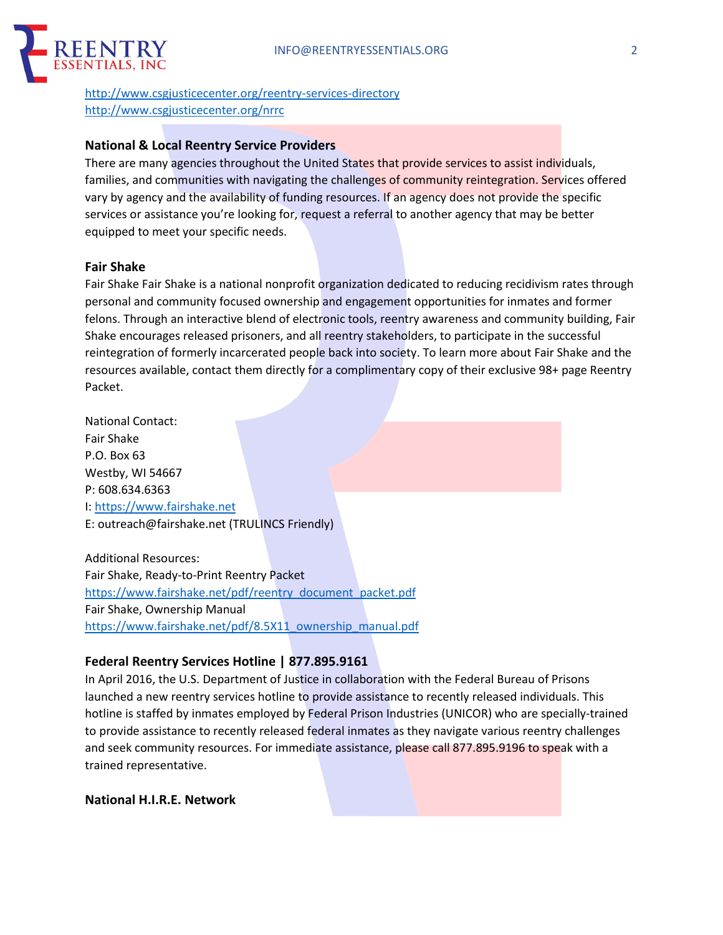

http://www.csgjusticecenter.org/reentry-services-directory http://www.csgjusticecenter.org/nrrc

#### **National & Local Reentry Service Providers**

There are many agencies throughout the United States that provide services to assist individuals, families, and communities with navigating the challenges of community reintegration. Services offered vary by agency and the availability of funding resources. If an agency does not provide the specific services or assistance you're looking for, request a referral to another agency that may be better equipped to meet your specific needs.

#### **Fair Shake**

Fair Shake Fair Shake is a national nonprofit organization dedicated to reducing recidivism rates through personal and community focused ownership and engagement opportunities for inmates and former felons. Through an interactive blend of electronic tools, reentry awareness and community building, Fair Shake encourages released prisoners, and all reentry stakeholders, to participate in the successful reintegration of formerly incarcerated people back into society. To learn more about Fair Shake and the resources available, contact them directly for a complimentary copy of their exclusive 98+ page Reentry Packet.

National Contact: Fair Shake P.O. Box 63 Westby, WI 54667 P: 608.634.6363 I: https://www.fairshake.net E: outreach@fairshake.net (TRULINCS Friendly)

Additional Resources: Fair Shake, Ready-to-Print Reentry Packet https://www.fairshake.net/pdf/reentry\_document\_packet.pdf Fair Shake, Ownership Manual https://www.fairshake.net/pdf/8.5X11\_ownership\_manual.pdf

#### **Federal Reentry Services Hotline | 877.895.9161**

In April 2016, the U.S. Department of Justice in collaboration with the Federal Bureau of Prisons launched a new reentry services hotline to provide assistance to recently released individuals. This hotline is staffed by inmates employed by Federal Prison Industries (UNICOR) who are specially-trained to provide assistance to recently released federal inmates as they navigate various reentry challenges and seek community resources. For immediate assistance, please call 877.895.9196 to speak with a trained representative.

**National H.I.R.E. Network**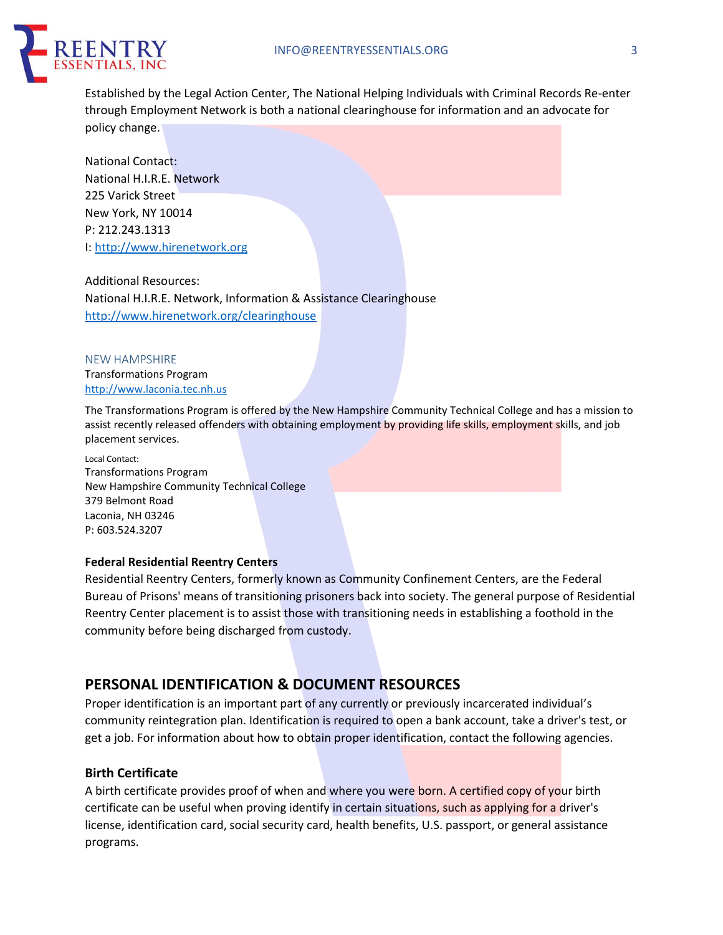

Established by the Legal Action Center, The National Helping Individuals with Criminal Records Re-enter through Employment Network is both a national clearinghouse for information and an advocate for policy change.

National Contact: National H.I.R.E. Network 225 Varick Street New York, NY 10014 P: 212.243.1313 I: http://www.hirenetwork.org

Additional Resources: National H.I.R.E. Network, Information & Assistance Clearinghouse http://www.hirenetwork.org/clearinghouse

NEW HAMPSHIRE Transformations Program http://www.laconia.tec.nh.us

The Transformations Program is offered by the New Hampshire Community Technical College and has a mission to assist recently released offenders with obtaining employment by providing life skills, employment skills, and job placement services.

Local Contact: Transformations Program New Hampshire Community Technical College 379 Belmont Road Laconia, NH 03246 P: 603.524.3207

#### **Federal Residential Reentry Centers**

Residential Reentry Centers, formerly known as Community Confinement Centers, are the Federal Bureau of Prisons' means of transitioning prisoners back into society. The general purpose of Residential Reentry Center placement is to assist those with transitioning needs in establishing a foothold in the community before being discharged from custody.

# **PERSONAL IDENTIFICATION & DOCUMENT RESOURCES**

Proper identification is an important part of any currently or previously incarcerated individual's community reintegration plan. Identification is required to open a bank account, take a driver's test, or get a job. For information about how to obtain proper identification, contact the following agencies.

#### **Birth Certificate**

A birth certificate provides proof of when and where you were born. A certified copy of your birth certificate can be useful when proving identify in certain situations, such as applying for a driver's license, identification card, social security card, health benefits, U.S. passport, or general assistance programs.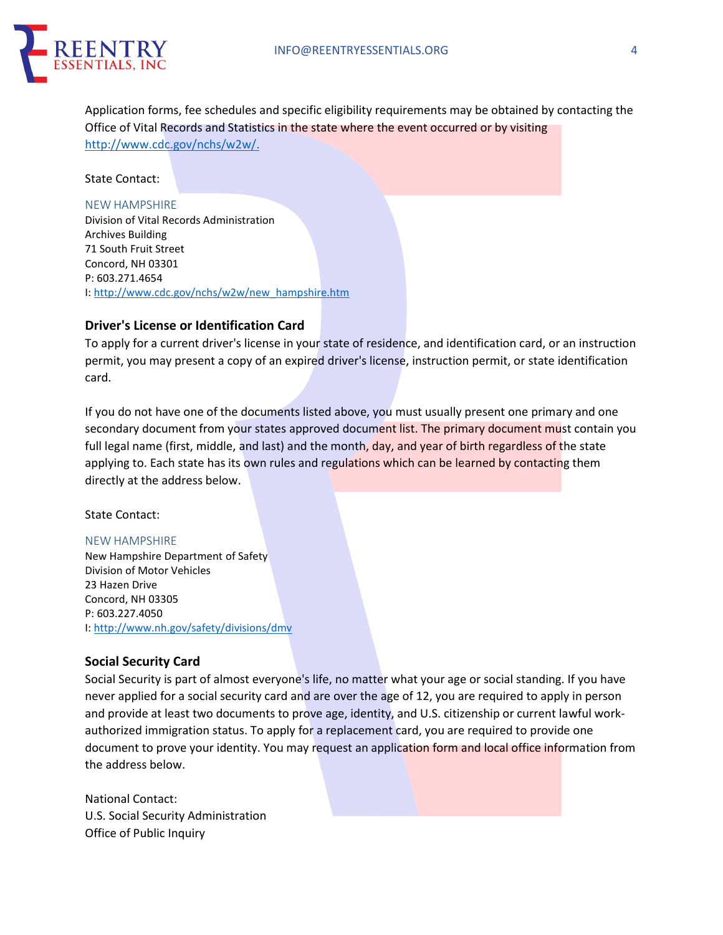

Application forms, fee schedules and specific eligibility requirements may be obtained by contacting the Office of Vital Records and Statistics in the state where the event occurred or by visiting http://www.cdc.gov/nchs/w2w/.

State Contact:

#### NEW HAMPSHIRE

Division of Vital Records Administration Archives Building 71 South Fruit Street Concord, NH 03301 P: 603.271.4654 I: http://www.cdc.gov/nchs/w2w/new\_hampshire.htm

#### **Driver's License or Identification Card**

To apply for a current driver's license in your state of residence, and identification card, or an instruction permit, you may present a copy of an expired driver's license, instruction permit, or state identification card.

If you do not have one of the documents listed above, you must usually present one primary and one secondary document from your states approved document list. The primary document must contain you full legal name (first, middle, and last) and the month, day, and year of birth regardless of the state applying to. Each state has its own rules and regulations which can be learned by contacting them directly at the address below.

#### State Contact:

#### NEW HAMPSHIRE

New Hampshire Department of Safety Division of Motor Vehicles 23 Hazen Drive Concord, NH 03305 P: 603.227.4050 I: http://www.nh.gov/safety/divisions/dmv

#### **Social Security Card**

Social Security is part of almost everyone's life, no matter what your age or social standing. If you have never applied for a social security card and are over the age of 12, you are required to apply in person and provide at least two documents to prove age, identity, and U.S. citizenship or current lawful workauthorized immigration status. To apply for a replacement card, you are required to provide one document to prove your identity. You may request an application form and local office information from the address below.

National Contact: U.S. Social Security Administration Office of Public Inquiry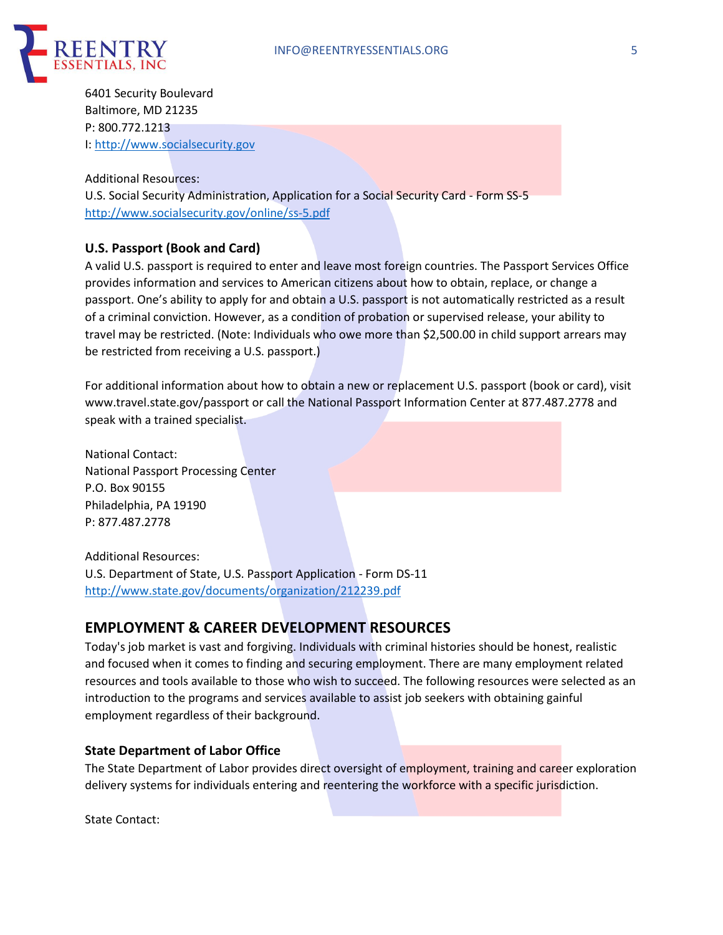

6401 Security Boulevard Baltimore, MD 21235 P: 800.772.1213 I: http://www.socialsecurity.gov

Additional Resources: U.S. Social Security Administration, Application for a Social Security Card - Form SS-5 http://www.socialsecurity.gov/online/ss-5.pdf

## **U.S. Passport (Book and Card)**

A valid U.S. passport is required to enter and leave most foreign countries. The Passport Services Office provides information and services to American citizens about how to obtain, replace, or change a passport. One's ability to apply for and obtain a U.S. passport is not automatically restricted as a result of a criminal conviction. However, as a condition of probation or supervised release, your ability to travel may be restricted. (Note: Individuals who owe more than \$2,500.00 in child support arrears may be restricted from receiving a U.S. passport.)

For additional information about how to obtain a new or replacement U.S. passport (book or card), visit www.travel.state.gov/passport or call the National Passport Information Center at 877.487.2778 and speak with a trained specialist.

National Contact: National Passport Processing Center P.O. Box 90155 Philadelphia, PA 19190 P: 877.487.2778

Additional Resources:

U.S. Department of State, U.S. Passport Application - Form DS-11 http://www.state.gov/documents/organization/212239.pdf

# **EMPLOYMENT & CAREER DEVELOPMENT RESOURCES**

Today's job market is vast and forgiving. Individuals with criminal histories should be honest, realistic and focused when it comes to finding and securing employment. There are many employment related resources and tools available to those who wish to succeed. The following resources were selected as an introduction to the programs and services available to assist job seekers with obtaining gainful employment regardless of their background.

#### **State Department of Labor Office**

The State Department of Labor provides direct oversight of employment, training and career exploration delivery systems for individuals entering and reentering the workforce with a specific jurisdiction.

State Contact: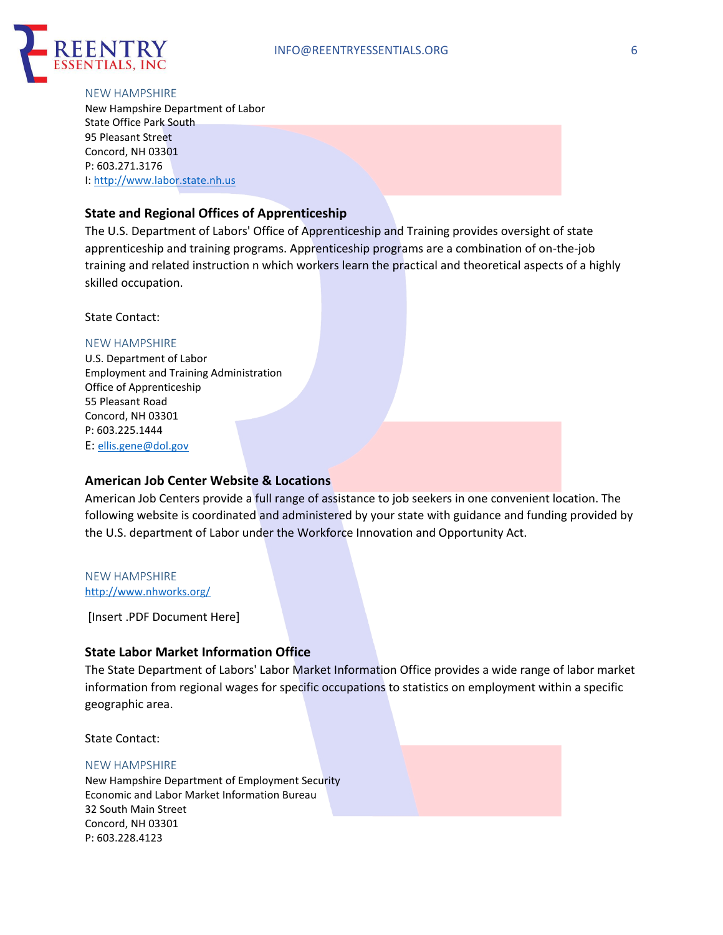

# NEW HAMPSHIRE

New Hampshire Department of Labor State Office Park South 95 Pleasant Street Concord, NH 03301 P: 603.271.3176 I: http://www.labor.state.nh.us

#### **State and Regional Offices of Apprenticeship**

The U.S. Department of Labors' Office of Apprenticeship and Training provides oversight of state apprenticeship and training programs. Apprenticeship programs are a combination of on-the-job training and related instruction n which workers learn the practical and theoretical aspects of a highly skilled occupation.

State Contact:

#### NEW HAMPSHIRE

U.S. Department of Labor Employment and Training Administration Office of Apprenticeship 55 Pleasant Road Concord, NH 03301 P: 603.225.1444 E: ellis.gene@dol.gov

#### **American Job Center Website & Locations**

American Job Centers provide a full range of assistance to job seekers in one convenient location. The following website is coordinated and administered by your state with guidance and funding provided by the U.S. department of Labor under the Workforce Innovation and Opportunity Act.

#### NEW HAMPSHIRE http://www.nhworks.org/

[Insert .PDF Document Here]

## **State Labor Market Information Office**

The State Department of Labors' Labor Market Information Office provides a wide range of labor market information from regional wages for specific occupations to statistics on employment within a specific geographic area.

State Contact:

#### NEW HAMPSHIRE

New Hampshire Department of Employment Security Economic and Labor Market Information Bureau 32 South Main Street Concord, NH 03301 P: 603.228.4123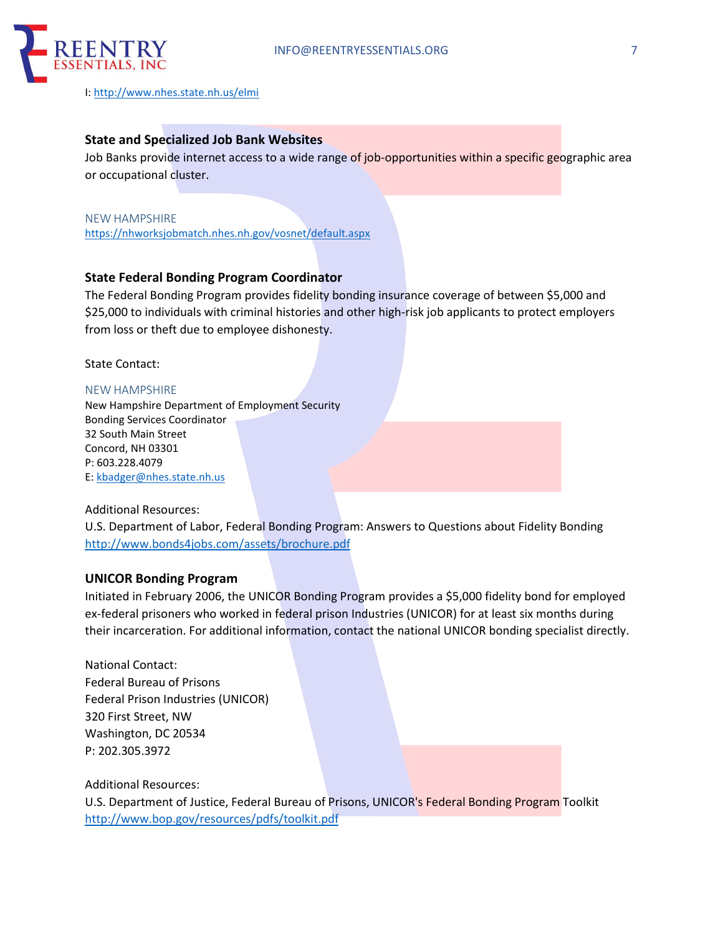

I: http://www.nhes.state.nh.us/elmi

## **State and Specialized Job Bank Websites**

Job Banks provide internet access to a wide range of job-opportunities within a specific geographic area or occupational cluster.

## NEW HAMPSHIRE https://nhworksjobmatch.nhes.nh.gov/vosnet/default.aspx

## **State Federal Bonding Program Coordinator**

The Federal Bonding Program provides fidelity bonding insurance coverage of between \$5,000 and \$25,000 to individuals with criminal histories and other high-risk job applicants to protect employers from loss or theft due to employee dishonesty.

State Contact:

#### NEW HAMPSHIRE

New Hampshire Department of Employment Security Bonding Services Coordinator 32 South Main Street Concord, NH 03301 P: 603.228.4079 E: kbadger@nhes.state.nh.us

#### Additional Resources:

U.S. Department of Labor, Federal Bonding Program: Answers to Questions about Fidelity Bonding http://www.bonds4jobs.com/assets/brochure.pdf

#### **UNICOR Bonding Program**

Initiated in February 2006, the UNICOR Bonding Program provides a \$5,000 fidelity bond for employed ex-federal prisoners who worked in federal prison Industries (UNICOR) for at least six months during their incarceration. For additional information, contact the national UNICOR bonding specialist directly.

National Contact: Federal Bureau of Prisons Federal Prison Industries (UNICOR) 320 First Street, NW Washington, DC 20534 P: 202.305.3972

Additional Resources:

U.S. Department of Justice, Federal Bureau of Prisons, UNICOR's Federal Bonding Program Toolkit http://www.bop.gov/resources/pdfs/toolkit.pdf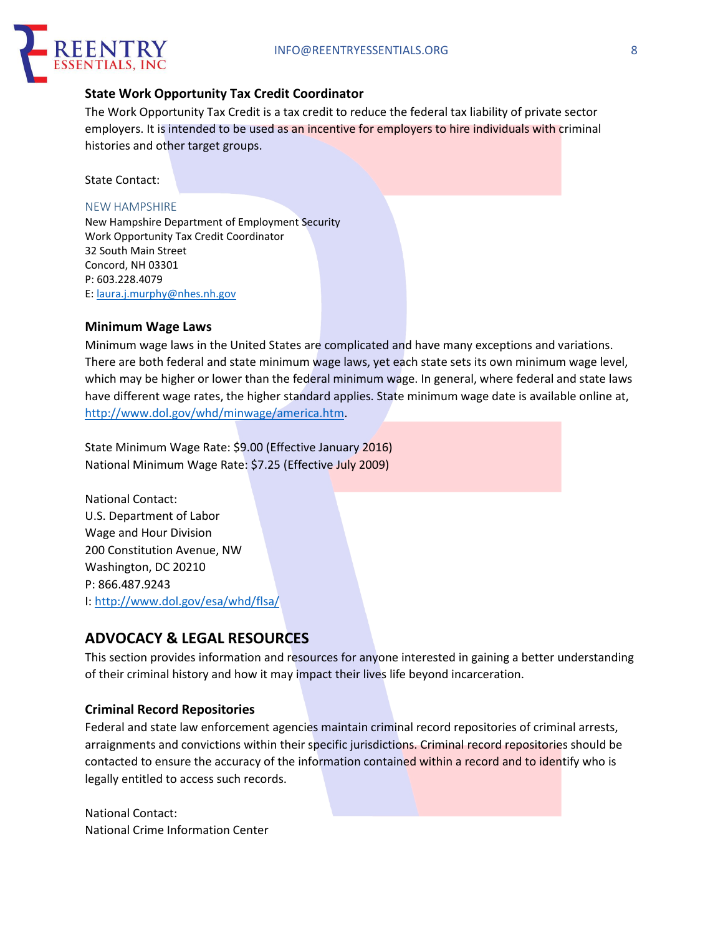

## **State Work Opportunity Tax Credit Coordinator**

The Work Opportunity Tax Credit is a tax credit to reduce the federal tax liability of private sector employers. It is intended to be used as an incentive for employers to hire individuals with criminal histories and other target groups.

State Contact:

#### NEW HAMPSHIRE

New Hampshire Department of Employment Security Work Opportunity Tax Credit Coordinator 32 South Main Street Concord, NH 03301 P: 603.228.4079 E: laura.j.murphy@nhes.nh.gov

#### **Minimum Wage Laws**

Minimum wage laws in the United States are complicated and have many exceptions and variations. There are both federal and state minimum wage laws, yet each state sets its own minimum wage level, which may be higher or lower than the federal minimum wage. In general, where federal and state laws have different wage rates, the higher standard applies. State minimum wage date is available online at, http://www.dol.gov/whd/minwage/america.htm.

State Minimum Wage Rate: \$9.00 (Effective January 2016) National Minimum Wage Rate: \$7.25 (Effective July 2009)

National Contact: U.S. Department of Labor Wage and Hour Division 200 Constitution Avenue, NW Washington, DC 20210 P: 866.487.9243 I: http://www.dol.gov/esa/whd/flsa/

# **ADVOCACY & LEGAL RESOURCES**

This section provides information and resources for anyone interested in gaining a better understanding of their criminal history and how it may impact their lives life beyond incarceration.

#### **Criminal Record Repositories**

Federal and state law enforcement agencies maintain criminal record repositories of criminal arrests, arraignments and convictions within their specific jurisdictions. Criminal record repositories should be contacted to ensure the accuracy of the information contained within a record and to identify who is legally entitled to access such records.

National Contact: National Crime Information Center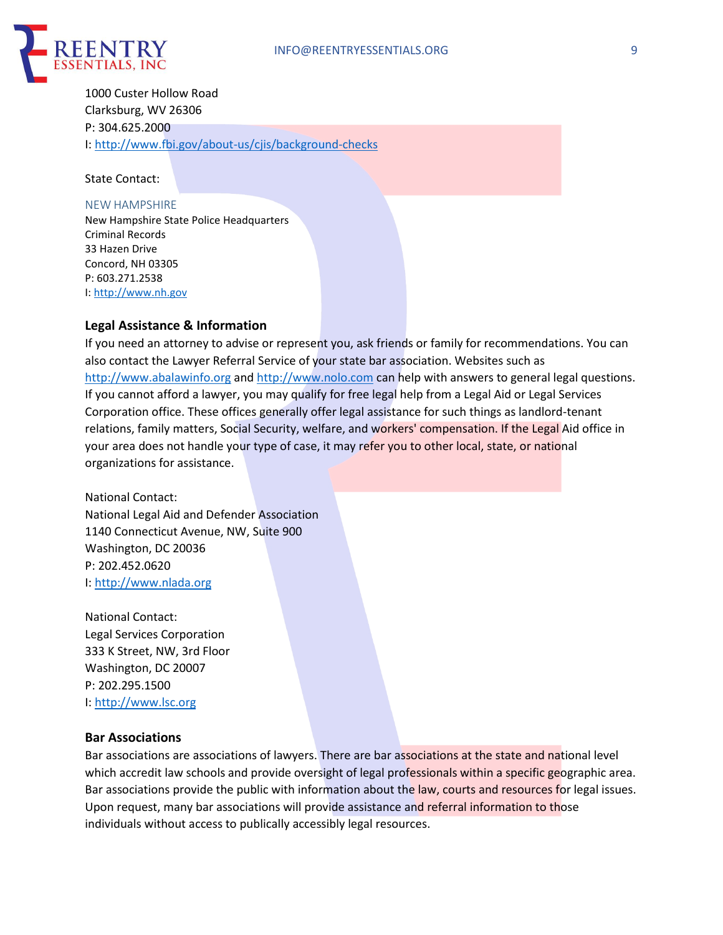

1000 Custer Hollow Road Clarksburg, WV 26306 P: 304.625.2000 I: http://www.fbi.gov/about-us/cjis/background-checks

State Contact:

#### NEW HAMPSHIRE

New Hampshire State Police Headquarters Criminal Records 33 Hazen Drive Concord, NH 03305 P: 603.271.2538 I: http://www.nh.gov

#### **Legal Assistance & Information**

If you need an attorney to advise or represent you, ask friends or family for recommendations. You can also contact the Lawyer Referral Service of your state bar association. Websites such as http://www.abalawinfo.org and http://www.nolo.com can help with answers to general legal questions. If you cannot afford a lawyer, you may qualify for free legal help from a Legal Aid or Legal Services Corporation office. These offices generally offer legal assistance for such things as landlord-tenant relations, family matters, Social Security, welfare, and workers' compensation. If the Legal Aid office in your area does not handle your type of case, it may refer you to other local, state, or national organizations for assistance.

National Contact: National Legal Aid and Defender Association 1140 Connecticut Avenue, NW, Suite 900 Washington, DC 20036 P: 202.452.0620 I: http://www.nlada.org

National Contact: Legal Services Corporation 333 K Street, NW, 3rd Floor Washington, DC 20007 P: 202.295.1500 I: http://www.lsc.org

#### **Bar Associations**

Bar associations are associations of lawyers. There are bar associations at the state and national level which accredit law schools and provide oversight of legal professionals within a specific geographic area. Bar associations provide the public with information about the law, courts and resources for legal issues. Upon request, many bar associations will provide assistance and referral information to those individuals without access to publically accessibly legal resources.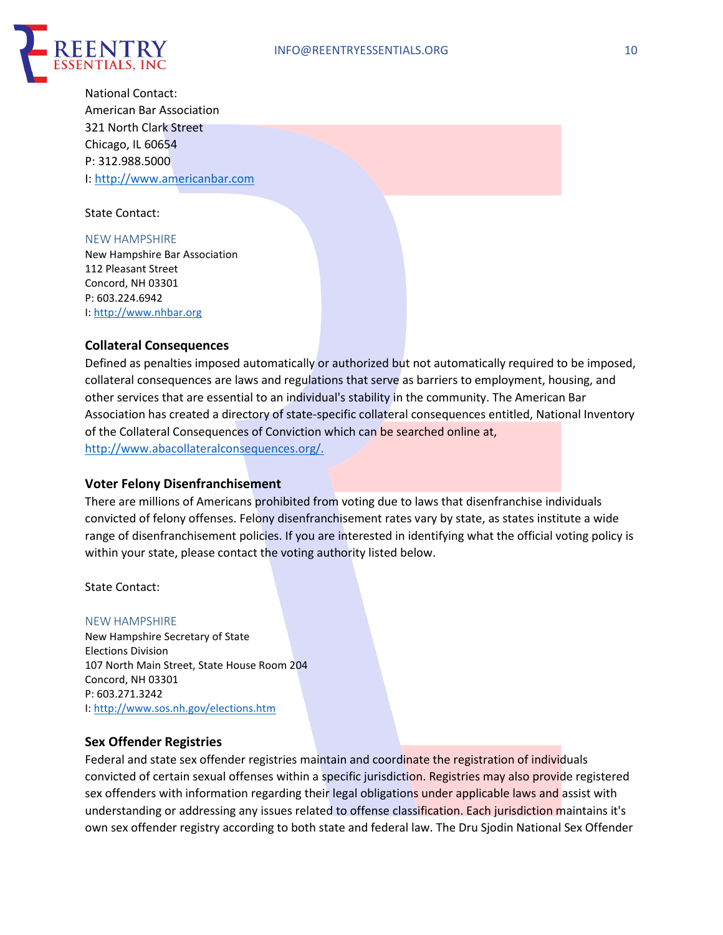

National Contact: American Bar Association 321 North Clark Street Chicago, IL 60654 P: 312.988.5000 I: http://www.americanbar.com

State Contact:

#### NEW HAMPSHIRE

New Hampshire Bar Association 112 Pleasant Street Concord, NH 03301 P: 603.224.6942 I: http://www.nhbar.org

## **Collateral Consequences**

Defined as penalties imposed automatically or authorized but not automatically required to be imposed, collateral consequences are laws and regulations that serve as barriers to employment, housing, and other services that are essential to an individual's stability in the community. The American Bar Association has created a directory of state-specific collateral consequences entitled, National Inventory of the Collateral Consequences of Conviction which can be searched online at, http://www.abacollateralconsequences.org/.

#### **Voter Felony Disenfranchisement**

There are millions of Americans prohibited from voting due to laws that disenfranchise individuals convicted of felony offenses. Felony disenfranchisement rates vary by state, as states institute a wide range of disenfranchisement policies. If you are interested in identifying what the official voting policy is within your state, please contact the voting authority listed below.

State Contact:

#### NEW HAMPSHIRE

New Hampshire Secretary of State Elections Division 107 North Main Street, State House Room 204 Concord, NH 03301 P: 603.271.3242 I: http://www.sos.nh.gov/elections.htm

#### **Sex Offender Registries**

Federal and state sex offender registries maintain and coordinate the registration of individuals convicted of certain sexual offenses within a specific jurisdiction. Registries may also provide registered sex offenders with information regarding their legal obligations under applicable laws and assist with understanding or addressing any issues related to offense classification. Each jurisdiction maintains it's own sex offender registry according to both state and federal law. The Dru Sjodin National Sex Offender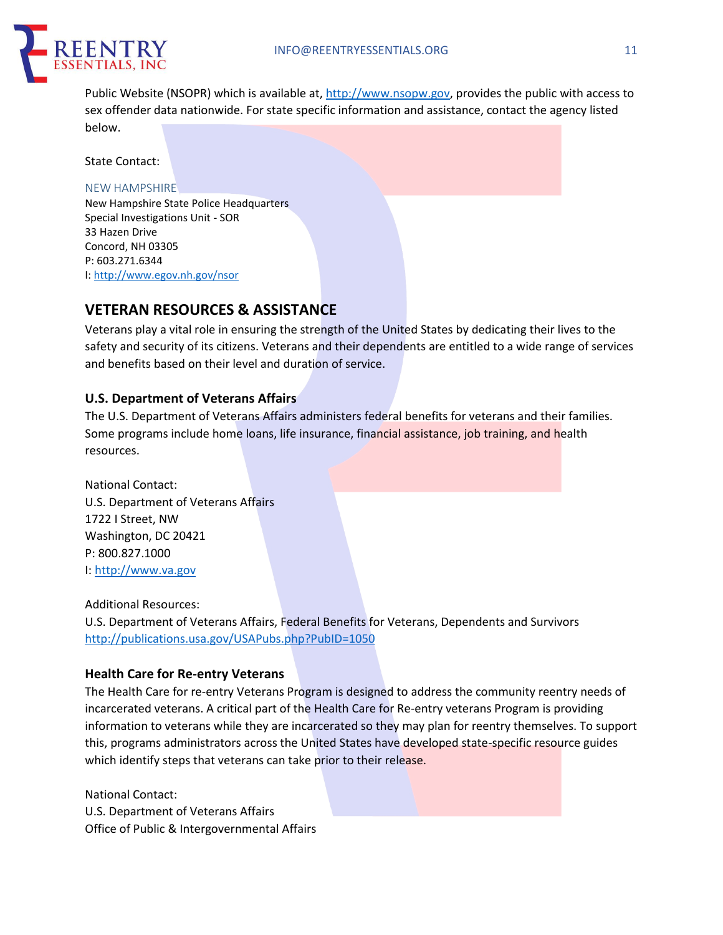

Public Website (NSOPR) which is available at, http://www.nsopw.gov, provides the public with access to sex offender data nationwide. For state specific information and assistance, contact the agency listed below.

State Contact:

#### NEW HAMPSHIRE

New Hampshire State Police Headquarters Special Investigations Unit - SOR 33 Hazen Drive Concord, NH 03305 P: 603.271.6344 I: http://www.egov.nh.gov/nsor

# **VETERAN RESOURCES & ASSISTANCE**

Veterans play a vital role in ensuring the strength of the United States by dedicating their lives to the safety and security of its citizens. Veterans and their dependents are entitled to a wide range of services and benefits based on their level and duration of service.

## **U.S. Department of Veterans Affairs**

The U.S. Department of Veterans Affairs administers federal benefits for veterans and their families. Some programs include home loans, life insurance, financial assistance, job training, and health resources.

National Contact: U.S. Department of Veterans Affairs 1722 I Street, NW Washington, DC 20421 P: 800.827.1000 I: http://www.va.gov

Additional Resources: U.S. Department of Veterans Affairs, Federal Benefits for Veterans, Dependents and Survivors http://publications.usa.gov/USAPubs.php?PubID=1050

## **Health Care for Re-entry Veterans**

The Health Care for re-entry Veterans Program is designed to address the community reentry needs of incarcerated veterans. A critical part of the Health Care for Re-entry veterans Program is providing information to veterans while they are incarcerated so they may plan for reentry themselves. To support this, programs administrators across the United States have developed state-specific resource guides which identify steps that veterans can take prior to their release.

National Contact: U.S. Department of Veterans Affairs Office of Public & Intergovernmental Affairs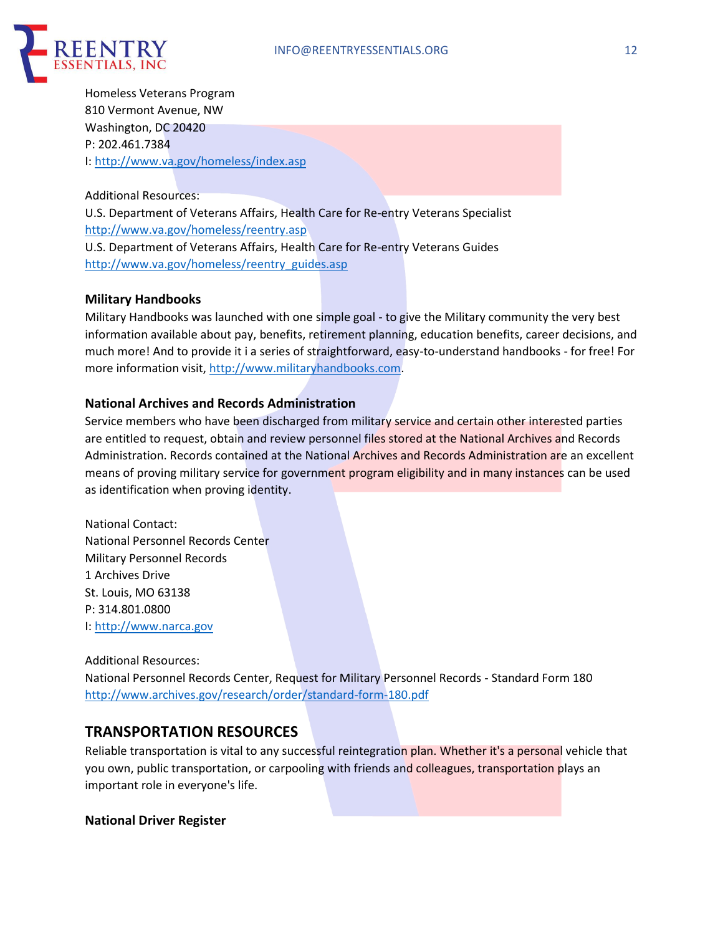

Homeless Veterans Program 810 Vermont Avenue, NW Washington, DC 20420 P: 202.461.7384 I: http://www.va.gov/homeless/index.asp

Additional Resources:

U.S. Department of Veterans Affairs, Health Care for Re-entry Veterans Specialist http://www.va.gov/homeless/reentry.asp U.S. Department of Veterans Affairs, Health Care for Re-entry Veterans Guides http://www.va.gov/homeless/reentry\_guides.asp

#### **Military Handbooks**

Military Handbooks was launched with one simple goal - to give the Military community the very best information available about pay, benefits, retirement planning, education benefits, career decisions, and much more! And to provide it i a series of straightforward, easy-to-understand handbooks - for free! For more information visit, http://www.militaryhandbooks.com.

## **National Archives and Records Administration**

Service members who have been discharged from military service and certain other interested parties are entitled to request, obtain and review personnel files stored at the National Archives and Records Administration. Records contained at the National Archives and Records Administration are an excellent means of proving military service for government program eligibility and in many instances can be used as identification when proving identity.

National Contact: National Personnel Records Center Military Personnel Records 1 Archives Drive St. Louis, MO 63138 P: 314.801.0800 I: http://www.narca.gov

#### Additional Resources:

National Personnel Records Center, Request for Military Personnel Records - Standard Form 180 http://www.archives.gov/research/order/standard-form-180.pdf

# **TRANSPORTATION RESOURCES**

Reliable transportation is vital to any successful reintegration plan. Whether it's a personal vehicle that you own, public transportation, or carpooling with friends and colleagues, transportation plays an important role in everyone's life.

#### **National Driver Register**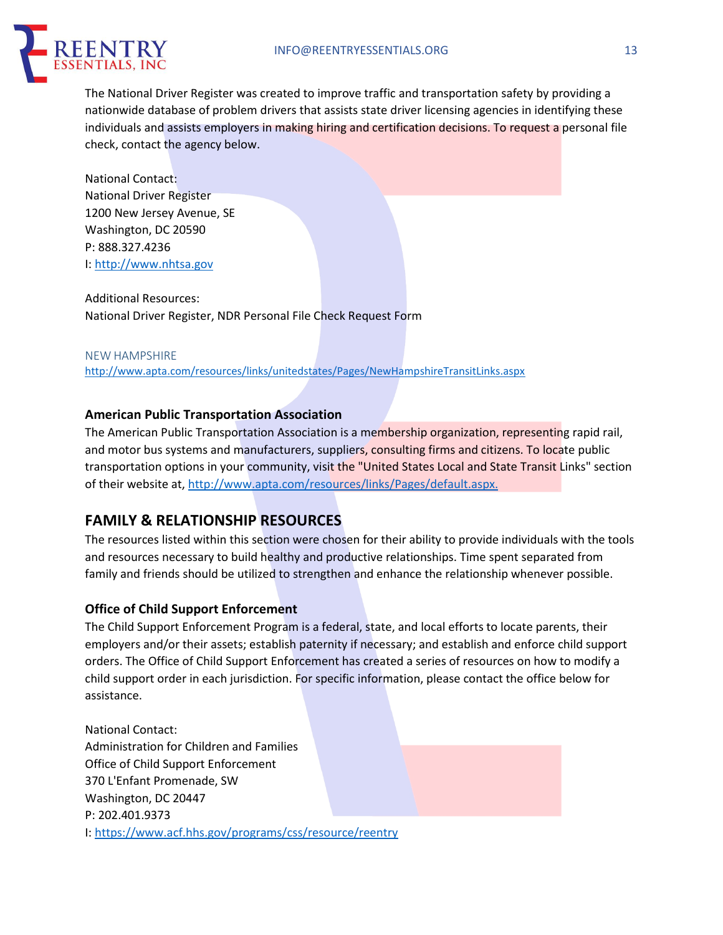

The National Driver Register was created to improve traffic and transportation safety by providing a nationwide database of problem drivers that assists state driver licensing agencies in identifying these individuals and assists employers in making hiring and certification decisions. To request a personal file check, contact the agency below.

National Contact: National Driver Register 1200 New Jersey Avenue, SE Washington, DC 20590 P: 888.327.4236 I: http://www.nhtsa.gov

Additional Resources: National Driver Register, NDR Personal File Check Request Form

NEW HAMPSHIRE http://www.apta.com/resources/links/unitedstates/Pages/NewHampshireTransitLinks.aspx

# **American Public Transportation Association**

The American Public Transportation Association is a membership organization, representing rapid rail, and motor bus systems and manufacturers, suppliers, consulting firms and citizens. To locate public transportation options in your community, visit the "United States Local and State Transit Links" section of their website at, http://www.apta.com/resources/links/Pages/default.aspx.

# **FAMILY & RELATIONSHIP RESOURCES**

The resources listed within this section were chosen for their ability to provide individuals with the tools and resources necessary to build healthy and productive relationships. Time spent separated from family and friends should be utilized to strengthen and enhance the relationship whenever possible.

# **Office of Child Support Enforcement**

The Child Support Enforcement Program is a federal, state, and local efforts to locate parents, their employers and/or their assets; establish paternity if necessary; and establish and enforce child support orders. The Office of Child Support Enforcement has created a series of resources on how to modify a child support order in each jurisdiction. For specific information, please contact the office below for assistance.

National Contact: Administration for Children and Families Office of Child Support Enforcement 370 L'Enfant Promenade, SW Washington, DC 20447 P: 202.401.9373 I: https://www.acf.hhs.gov/programs/css/resource/reentry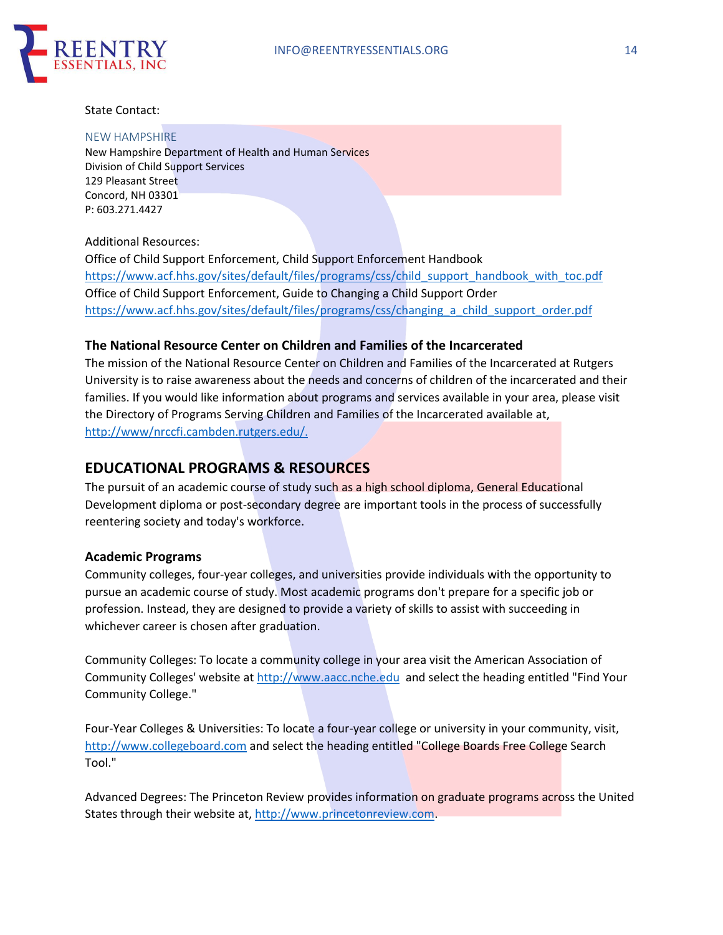

#### State Contact:

#### NEW HAMPSHIRE

New Hampshire Department of Health and Human Services Division of Child Support Services 129 Pleasant Street Concord, NH 03301 P: 603.271.4427

#### Additional Resources:

Office of Child Support Enforcement, Child Support Enforcement Handbook https://www.acf.hhs.gov/sites/default/files/programs/css/child\_support\_handbook\_with\_toc.pdf Office of Child Support Enforcement, Guide to Changing a Child Support Order https://www.acf.hhs.gov/sites/default/files/programs/css/changing\_a\_child\_support\_order.pdf

#### **The National Resource Center on Children and Families of the Incarcerated**

The mission of the National Resource Center on Children and Families of the Incarcerated at Rutgers University is to raise awareness about the needs and concerns of children of the incarcerated and their families. If you would like information about programs and services available in your area, please visit the Directory of Programs Serving Children and Families of the Incarcerated available at, http://www/nrccfi.cambden.rutgers.edu/.

# **EDUCATIONAL PROGRAMS & RESOURCES**

The pursuit of an academic course of study such as a high school diploma, General Educational Development diploma or post-secondary degree are important tools in the process of successfully reentering society and today's workforce.

#### **Academic Programs**

Community colleges, four-year colleges, and universities provide individuals with the opportunity to pursue an academic course of study. Most academic programs don't prepare for a specific job or profession. Instead, they are designed to provide a variety of skills to assist with succeeding in whichever career is chosen after graduation.

Community Colleges: To locate a community college in your area visit the American Association of Community Colleges' website at http://www.aacc.nche.edu and select the heading entitled "Find Your Community College."

Four-Year Colleges & Universities: To locate a four-year college or university in your community, visit, http://www.collegeboard.com and select the heading entitled "College Boards Free College Search Tool."

Advanced Degrees: The Princeton Review provides information on graduate programs across the United States through their website at, http://www.princetonreview.com.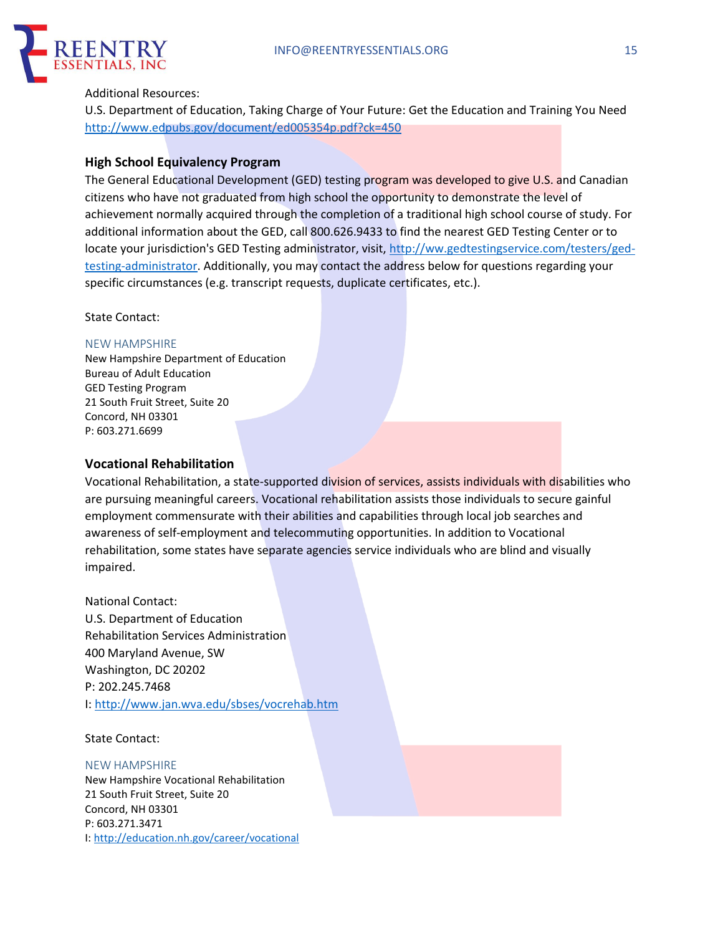

#### Additional Resources:

U.S. Department of Education, Taking Charge of Your Future: Get the Education and Training You Need http://www.edpubs.gov/document/ed005354p.pdf?ck=450

## **High School Equivalency Program**

The General Educational Development (GED) testing program was developed to give U.S. and Canadian citizens who have not graduated from high school the opportunity to demonstrate the level of achievement normally acquired through the completion of a traditional high school course of study. For additional information about the GED, call 800.626.9433 to find the nearest GED Testing Center or to locate your jurisdiction's GED Testing administrator, visit, http://ww.gedtestingservice.com/testers/gedtesting-administrator. Additionally, you may contact the address below for questions regarding your specific circumstances (e.g. transcript requests, duplicate certificates, etc.).

State Contact:

#### NEW HAMPSHIRE

New Hampshire Department of Education Bureau of Adult Education GED Testing Program 21 South Fruit Street, Suite 20 Concord, NH 03301 P: 603.271.6699

## **Vocational Rehabilitation**

Vocational Rehabilitation, a state-supported division of services, assists individuals with disabilities who are pursuing meaningful careers. Vocational rehabilitation assists those individuals to secure gainful employment commensurate with their abilities and capabilities through local job searches and awareness of self-employment and telecommuting opportunities. In addition to Vocational rehabilitation, some states have separate agencies service individuals who are blind and visually impaired.

National Contact: U.S. Department of Education Rehabilitation Services Administration 400 Maryland Avenue, SW Washington, DC 20202 P: 202.245.7468 I: http://www.jan.wva.edu/sbses/vocrehab.htm

#### State Contact:

#### NEW HAMPSHIRE

New Hampshire Vocational Rehabilitation 21 South Fruit Street, Suite 20 Concord, NH 03301 P: 603.271.3471 I: http://education.nh.gov/career/vocational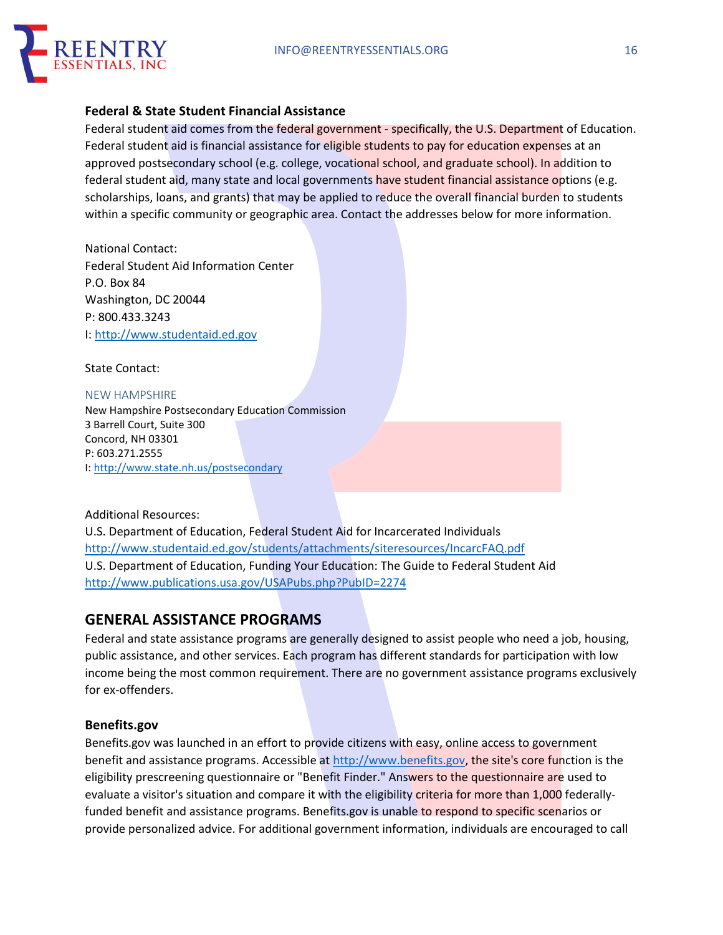

## **Federal & State Student Financial Assistance**

Federal student aid comes from the federal government - specifically, the U.S. Department of Education. Federal student aid is financial assistance for eligible students to pay for education expenses at an approved postsecondary school (e.g. college, vocational school, and graduate school). In addition to federal student aid, many state and local governments have student financial assistance options (e.g. scholarships, loans, and grants) that may be applied to reduce the overall financial burden to students within a specific community or geographic area. Contact the addresses below for more information.

National Contact: Federal Student Aid Information Center P.O. Box 84 Washington, DC 20044 P: 800.433.3243 I: http://www.studentaid.ed.gov

State Contact:

NEW HAMPSHIRE New Hampshire Postsecondary Education Commission 3 Barrell Court, Suite 300 Concord, NH 03301 P: 603.271.2555 I: http://www.state.nh.us/postsecondary

#### Additional Resources:

U.S. Department of Education, Federal Student Aid for Incarcerated Individuals http://www.studentaid.ed.gov/students/attachments/siteresources/IncarcFAQ.pdf U.S. Department of Education, Funding Your Education: The Guide to Federal Student Aid http://www.publications.usa.gov/USAPubs.php?PubID=2274

# **GENERAL ASSISTANCE PROGRAMS**

Federal and state assistance programs are generally designed to assist people who need a job, housing, public assistance, and other services. Each program has different standards for participation with low income being the most common requirement. There are no government assistance programs exclusively for ex-offenders.

## **Benefits.gov**

Benefits.gov was launched in an effort to provide citizens with easy, online access to government benefit and assistance programs. Accessible at http://www.benefits.gov, the site's core function is the eligibility prescreening questionnaire or "Benefit Finder." Answers to the questionnaire are used to evaluate a visitor's situation and compare it with the eligibility criteria for more than 1,000 federallyfunded benefit and assistance programs. Benefits.gov is unable to respond to specific scenarios or provide personalized advice. For additional government information, individuals are encouraged to call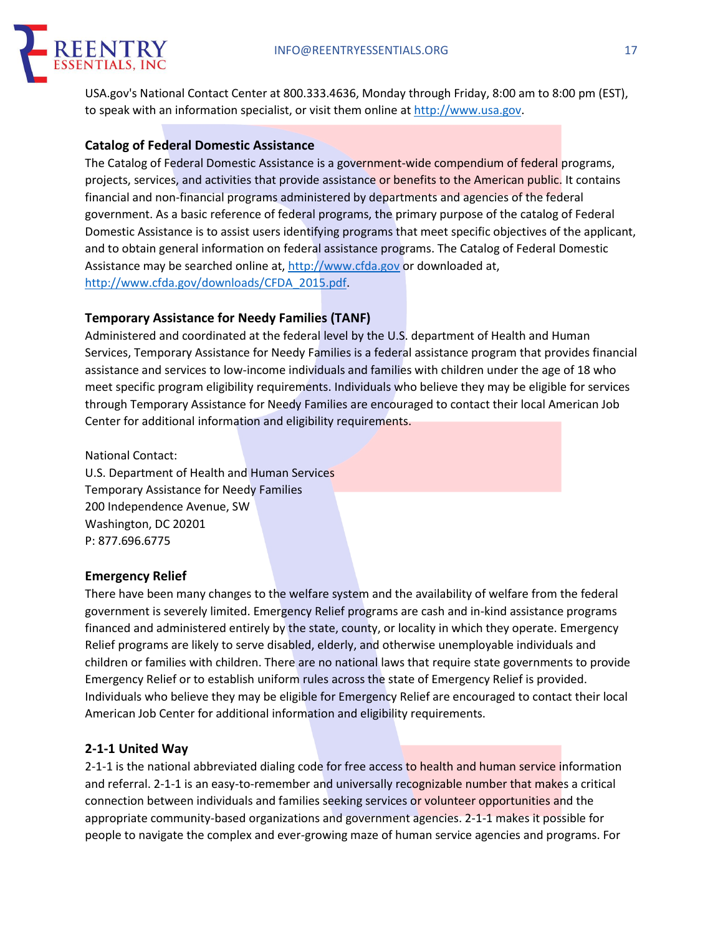

USA.gov's National Contact Center at 800.333.4636, Monday through Friday, 8:00 am to 8:00 pm (EST), to speak with an information specialist, or visit them online at http://www.usa.gov.

## **Catalog of Federal Domestic Assistance**

The Catalog of Federal Domestic Assistance is a government-wide compendium of federal programs, projects, services, and activities that provide assistance or benefits to the American public. It contains financial and non-financial programs administered by departments and agencies of the federal government. As a basic reference of federal programs, the primary purpose of the catalog of Federal Domestic Assistance is to assist users identifying programs that meet specific objectives of the applicant, and to obtain general information on federal assistance programs. The Catalog of Federal Domestic Assistance may be searched online at, http://www.cfda.gov or downloaded at, http://www.cfda.gov/downloads/CFDA\_2015.pdf.

## **Temporary Assistance for Needy Families (TANF)**

Administered and coordinated at the federal level by the U.S. department of Health and Human Services, Temporary Assistance for Needy Families is a federal assistance program that provides financial assistance and services to low-income individuals and families with children under the age of 18 who meet specific program eligibility requirements. Individuals who believe they may be eligible for services through Temporary Assistance for Needy Families are encouraged to contact their local American Job Center for additional information and eligibility requirements.

National Contact:

U.S. Department of Health and Human Services Temporary Assistance for Needy Families 200 Independence Avenue, SW Washington, DC 20201 P: 877.696.6775

#### **Emergency Relief**

There have been many changes to the welfare system and the availability of welfare from the federal government is severely limited. Emergency Relief programs are cash and in-kind assistance programs financed and administered entirely by the state, county, or locality in which they operate. Emergency Relief programs are likely to serve disabled, elderly, and otherwise unemployable individuals and children or families with children. There are no national laws that require state governments to provide Emergency Relief or to establish uniform rules across the state of Emergency Relief is provided. Individuals who believe they may be eligible for Emergency Relief are encouraged to contact their local American Job Center for additional information and eligibility requirements.

## **2-1-1 United Way**

2-1-1 is the national abbreviated dialing code for free access to health and human service information and referral. 2-1-1 is an easy-to-remember and universally recognizable number that makes a critical connection between individuals and families seeking services or volunteer opportunities and the appropriate community-based organizations and government agencies. 2-1-1 makes it possible for people to navigate the complex and ever-growing maze of human service agencies and programs. For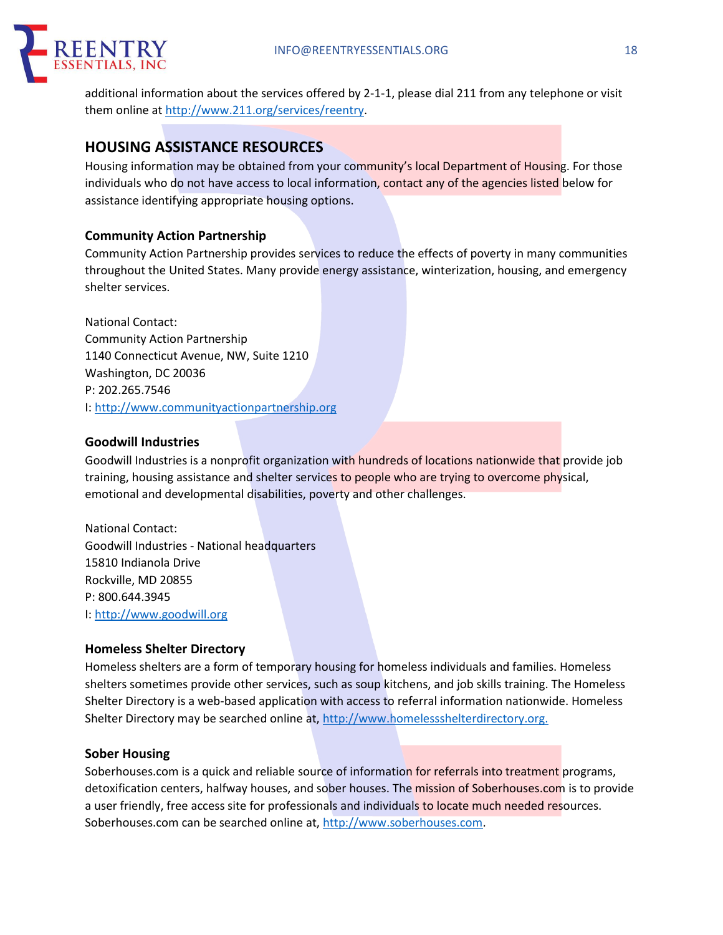

additional information about the services offered by 2-1-1, please dial 211 from any telephone or visit them online at http://www.211.org/services/reentry.

# **HOUSING ASSISTANCE RESOURCES**

Housing information may be obtained from your community's local Department of Housing. For those individuals who do not have access to local information, contact any of the agencies listed below for assistance identifying appropriate housing options.

## **Community Action Partnership**

Community Action Partnership provides services to reduce the effects of poverty in many communities throughout the United States. Many provide energy assistance, winterization, housing, and emergency shelter services.

National Contact: Community Action Partnership 1140 Connecticut Avenue, NW, Suite 1210 Washington, DC 20036 P: 202.265.7546 I: http://www.communityactionpartnership.org

# **Goodwill Industries**

Goodwill Industries is a nonprofit organization with hundreds of locations nationwide that provide job training, housing assistance and shelter services to people who are trying to overcome physical, emotional and developmental disabilities, poverty and other challenges.

National Contact: Goodwill Industries - National headquarters 15810 Indianola Drive Rockville, MD 20855 P: 800.644.3945 I: http://www.goodwill.org

# **Homeless Shelter Directory**

Homeless shelters are a form of temporary housing for homeless individuals and families. Homeless shelters sometimes provide other services, such as soup kitchens, and job skills training. The Homeless Shelter Directory is a web-based application with access to referral information nationwide. Homeless Shelter Directory may be searched online at, http://www.homelessshelterdirectory.org.

## **Sober Housing**

Soberhouses.com is a quick and reliable source of information for referrals into treatment programs, detoxification centers, halfway houses, and sober houses. The mission of Soberhouses.com is to provide a user friendly, free access site for professionals and individuals to locate much needed resources. Soberhouses.com can be searched online at, http://www.soberhouses.com.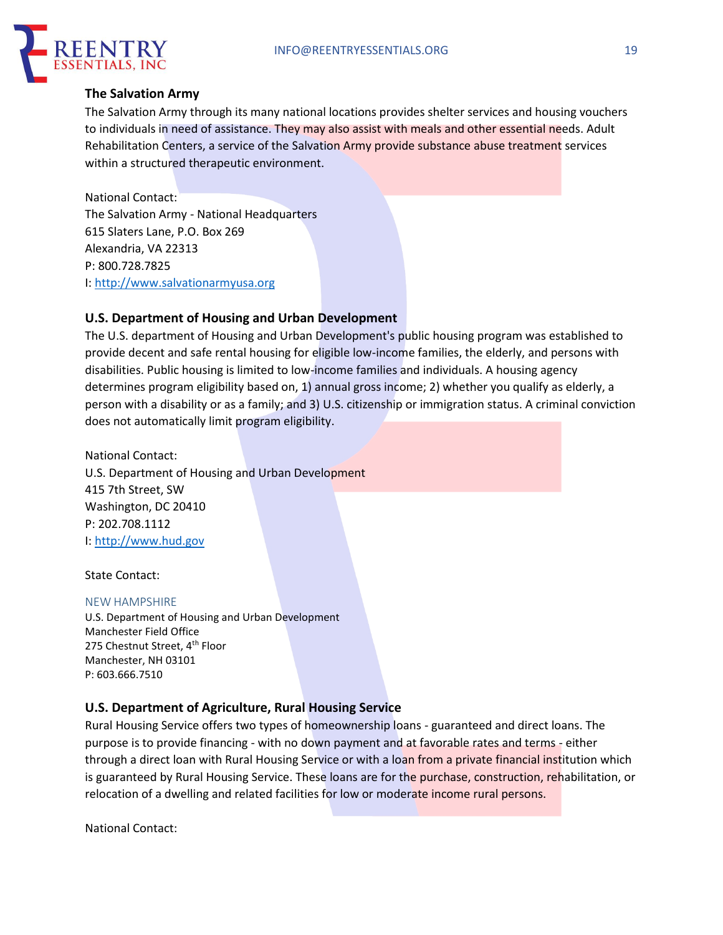

## **The Salvation Army**

The Salvation Army through its many national locations provides shelter services and housing vouchers to individuals in need of assistance. They may also assist with meals and other essential needs. Adult Rehabilitation Centers, a service of the Salvation Army provide substance abuse treatment services within a structured therapeutic environment.

National Contact: The Salvation Army - National Headquarters 615 Slaters Lane, P.O. Box 269 Alexandria, VA 22313 P: 800.728.7825 I: http://www.salvationarmyusa.org

# **U.S. Department of Housing and Urban Development**

The U.S. department of Housing and Urban Development's public housing program was established to provide decent and safe rental housing for eligible low-income families, the elderly, and persons with disabilities. Public housing is limited to low-income families and individuals. A housing agency determines program eligibility based on, 1) annual gross income; 2) whether you qualify as elderly, a person with a disability or as a family; and 3) U.S. citizenship or immigration status. A criminal conviction does not automatically limit program eligibility.

National Contact: U.S. Department of Housing and Urban Development 415 7th Street, SW Washington, DC 20410 P: 202.708.1112 I: http://www.hud.gov

State Contact:

#### NEW HAMPSHIRE

U.S. Department of Housing and Urban Development Manchester Field Office 275 Chestnut Street, 4<sup>th</sup> Floor Manchester, NH 03101 P: 603.666.7510

## **U.S. Department of Agriculture, Rural Housing Service**

Rural Housing Service offers two types of homeownership loans - guaranteed and direct loans. The purpose is to provide financing - with no down payment and at favorable rates and terms - either through a direct loan with Rural Housing Service or with a loan from a private financial institution which is guaranteed by Rural Housing Service. These loans are for the purchase, construction, rehabilitation, or relocation of a dwelling and related facilities for low or moderate income rural persons.

National Contact: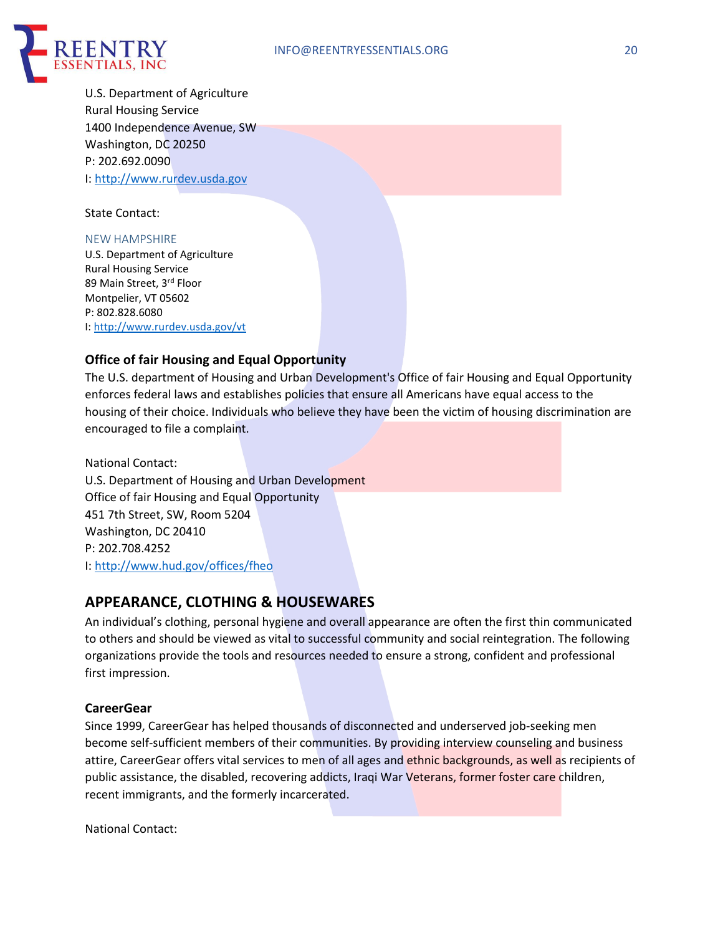

U.S. Department of Agriculture Rural Housing Service 1400 Independence Avenue, SW Washington, DC 20250 P: 202.692.0090 I: http://www.rurdev.usda.gov

State Contact:

#### NEW HAMPSHIRE

U.S. Department of Agriculture Rural Housing Service 89 Main Street, 3rd Floor Montpelier, VT 05602 P: 802.828.6080 I: http://www.rurdev.usda.gov/vt

## **Office of fair Housing and Equal Opportunity**

The U.S. department of Housing and Urban Development's Office of fair Housing and Equal Opportunity enforces federal laws and establishes policies that ensure all Americans have equal access to the housing of their choice. Individuals who believe they have been the victim of housing discrimination are encouraged to file a complaint.

National Contact: U.S. Department of Housing and Urban Development Office of fair Housing and Equal Opportunity 451 7th Street, SW, Room 5204 Washington, DC 20410 P: 202.708.4252 I: http://www.hud.gov/offices/fheo

# **APPEARANCE, CLOTHING & HOUSEWARES**

An individual's clothing, personal hygiene and overall appearance are often the first thin communicated to others and should be viewed as vital to successful community and social reintegration. The following organizations provide the tools and resources needed to ensure a strong, confident and professional first impression.

## **CareerGear**

Since 1999, CareerGear has helped thousands of disconnected and underserved job-seeking men become self-sufficient members of their communities. By providing interview counseling and business attire, CareerGear offers vital services to men of all ages and ethnic backgrounds, as well as recipients of public assistance, the disabled, recovering addicts, Iraqi War Veterans, former foster care children, recent immigrants, and the formerly incarcerated.

National Contact: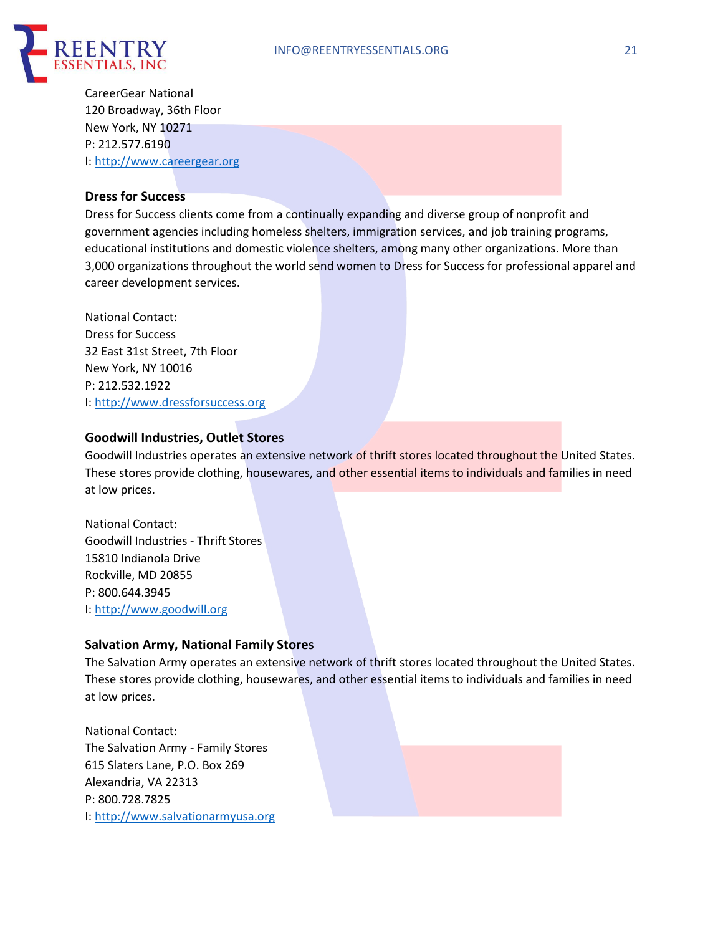

CareerGear National 120 Broadway, 36th Floor New York, NY 10271 P: 212.577.6190 I: http://www.careergear.org

## **Dress for Success**

Dress for Success clients come from a continually expanding and diverse group of nonprofit and government agencies including homeless shelters, immigration services, and job training programs, educational institutions and domestic violence shelters, among many other organizations. More than 3,000 organizations throughout the world send women to Dress for Success for professional apparel and career development services.

National Contact: Dress for Success 32 East 31st Street, 7th Floor New York, NY 10016 P: 212.532.1922 I: http://www.dressforsuccess.org

## **Goodwill Industries, Outlet Stores**

Goodwill Industries operates an extensive network of thrift stores located throughout the United States. These stores provide clothing, housewares, and other essential items to individuals and families in need at low prices.

National Contact: Goodwill Industries - Thrift Stores 15810 Indianola Drive Rockville, MD 20855 P: 800.644.3945 I: http://www.goodwill.org

## **Salvation Army, National Family Stores**

The Salvation Army operates an extensive network of thrift stores located throughout the United States. These stores provide clothing, housewares, and other essential items to individuals and families in need at low prices.

National Contact: The Salvation Army - Family Stores 615 Slaters Lane, P.O. Box 269 Alexandria, VA 22313 P: 800.728.7825 I: http://www.salvationarmyusa.org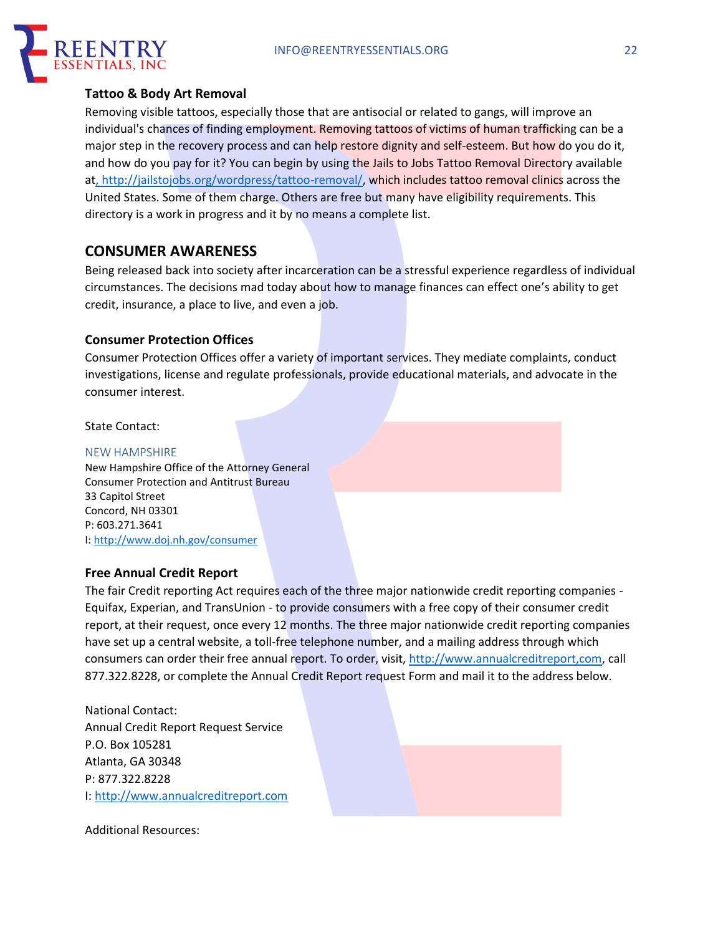

## **Tattoo & Body Art Removal**

Removing visible tattoos, especially those that are antisocial or related to gangs, will improve an individual's chances of finding employment. Removing tattoos of victims of human trafficking can be a major step in the recovery process and can help restore dignity and self-esteem. But how do you do it, and how do you pay for it? You can begin by using the Jails to Jobs Tattoo Removal Directory available at, http://jailstojobs.org/wordpress/tattoo-removal/, which includes tattoo removal clinics across the United States. Some of them charge. Others are free but many have eligibility requirements. This directory is a work in progress and it by no means a complete list.

# **CONSUMER AWARENESS**

Being released back into society after incarceration can be a stressful experience regardless of individual circumstances. The decisions mad today about how to manage finances can effect one's ability to get credit, insurance, a place to live, and even a job.

## **Consumer Protection Offices**

Consumer Protection Offices offer a variety of important services. They mediate complaints, conduct investigations, license and regulate professionals, provide educational materials, and advocate in the consumer interest.

State Contact:

#### NEW HAMPSHIRE

New Hampshire Office of the Attorney General Consumer Protection and Antitrust Bureau 33 Capitol Street Concord, NH 03301 P: 603.271.3641 I: http://www.doj.nh.gov/consumer

#### **Free Annual Credit Report**

The fair Credit reporting Act requires each of the three major nationwide credit reporting companies - Equifax, Experian, and TransUnion - to provide consumers with a free copy of their consumer credit report, at their request, once every 12 months. The three major nationwide credit reporting companies have set up a central website, a toll-free telephone number, and a mailing address through which consumers can order their free annual report. To order, visit, http://www.annualcreditreport,com, call 877.322.8228, or complete the Annual Credit Report request Form and mail it to the address below.

National Contact: Annual Credit Report Request Service P.O. Box 105281 Atlanta, GA 30348 P: 877.322.8228 I: http://www.annualcreditreport.com

Additional Resources: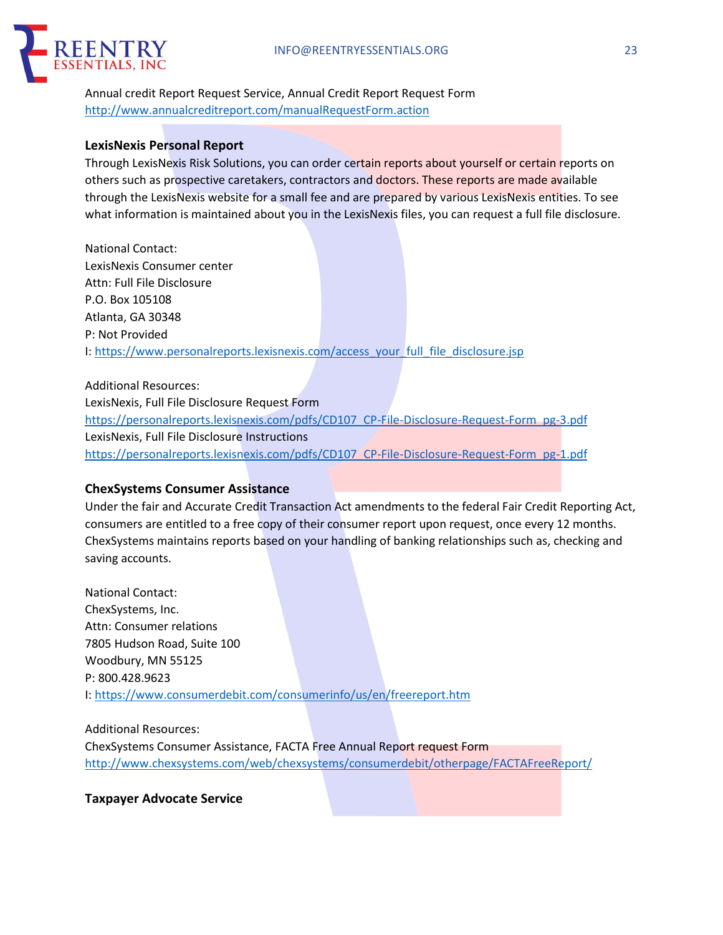

Annual credit Report Request Service, Annual Credit Report Request Form http://www.annualcreditreport.com/manualRequestForm.action

## **LexisNexis Personal Report**

Through LexisNexis Risk Solutions, you can order certain reports about yourself or certain reports on others such as prospective caretakers, contractors and doctors. These reports are made available through the LexisNexis website for a small fee and are prepared by various LexisNexis entities. To see what information is maintained about you in the LexisNexis files, you can request a full file disclosure.

National Contact: LexisNexis Consumer center Attn: Full File Disclosure P.O. Box 105108 Atlanta, GA 30348 P: Not Provided I: https://www.personalreports.lexisnexis.com/access\_your\_full\_file\_disclosure.jsp

Additional Resources: LexisNexis, Full File Disclosure Request Form https://personalreports.lexisnexis.com/pdfs/CD107\_CP-File-Disclosure-Request-Form\_pg-3.pdf LexisNexis, Full File Disclosure Instructions https://personalreports.lexisnexis.com/pdfs/CD107\_CP-File-Disclosure-Request-Form\_pg-1.pdf

#### **ChexSystems Consumer Assistance**

Under the fair and Accurate Credit Transaction Act amendments to the federal Fair Credit Reporting Act, consumers are entitled to a free copy of their consumer report upon request, once every 12 months. ChexSystems maintains reports based on your handling of banking relationships such as, checking and saving accounts.

National Contact: ChexSystems, Inc. Attn: Consumer relations 7805 Hudson Road, Suite 100 Woodbury, MN 55125 P: 800.428.9623 I: https://www.consumerdebit.com/consumerinfo/us/en/freereport.htm

Additional Resources: ChexSystems Consumer Assistance, FACTA Free Annual Report request Form http://www.chexsystems.com/web/chexsystems/consumerdebit/otherpage/FACTAFreeReport/

**Taxpayer Advocate Service**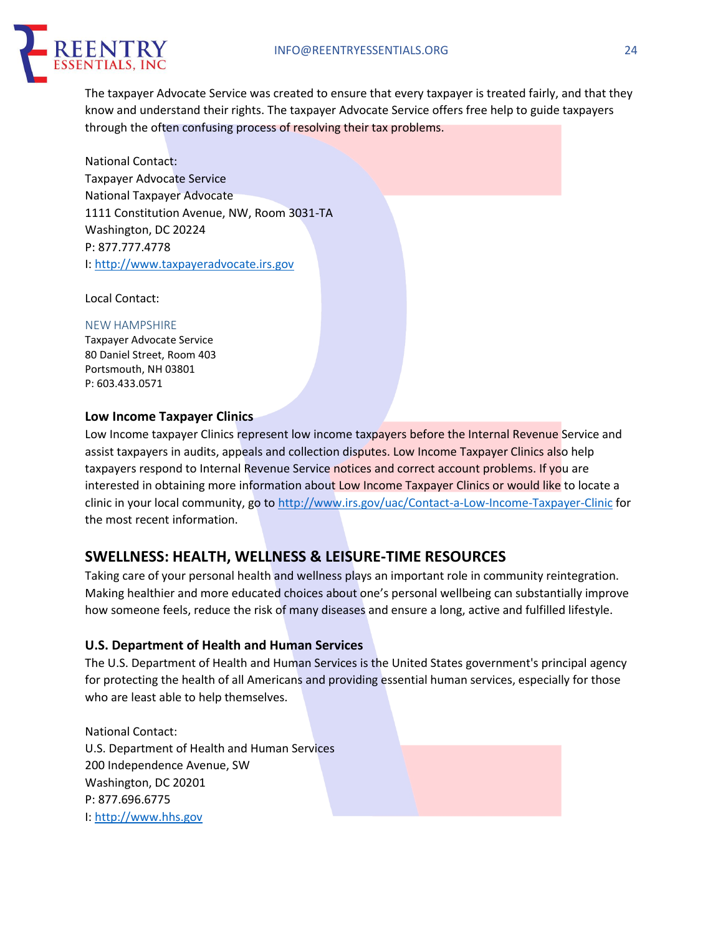

The taxpayer Advocate Service was created to ensure that every taxpayer is treated fairly, and that they know and understand their rights. The taxpayer Advocate Service offers free help to guide taxpayers through the often confusing process of resolving their tax problems.

National Contact: Taxpayer Advocate Service National Taxpayer Advocate 1111 Constitution Avenue, NW, Room 3031-TA Washington, DC 20224 P: 877.777.4778 I: http://www.taxpayeradvocate.irs.gov

Local Contact:

#### NEW HAMPSHIRE

Taxpayer Advocate Service 80 Daniel Street, Room 403 Portsmouth, NH 03801 P: 603.433.0571

## **Low Income Taxpayer Clinics**

Low Income taxpayer Clinics represent low income taxpayers before the Internal Revenue Service and assist taxpayers in audits, appeals and collection disputes. Low Income Taxpayer Clinics also help taxpayers respond to Internal Revenue Service notices and correct account problems. If you are interested in obtaining more information about Low Income Taxpayer Clinics or would like to locate a clinic in your local community, go to http://www.irs.gov/uac/Contact-a-Low-Income-Taxpayer-Clinic for the most recent information.

# **SWELLNESS: HEALTH, WELLNESS & LEISURE-TIME RESOURCES**

Taking care of your personal health and wellness plays an important role in community reintegration. Making healthier and more educated choices about one's personal wellbeing can substantially improve how someone feels, reduce the risk of many diseases and ensure a long, active and fulfilled lifestyle.

## **U.S. Department of Health and Human Services**

The U.S. Department of Health and Human Services is the United States government's principal agency for protecting the health of all Americans and providing essential human services, especially for those who are least able to help themselves.

National Contact: U.S. Department of Health and Human Services 200 Independence Avenue, SW Washington, DC 20201 P: 877.696.6775 I: http://www.hhs.gov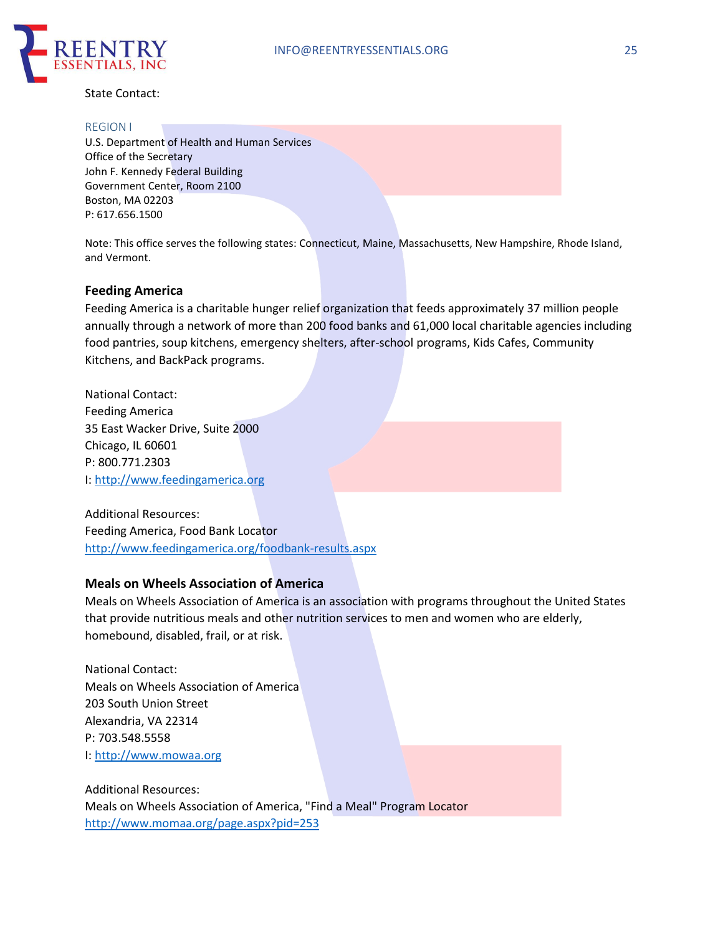

State Contact:

#### REGION I

U.S. Department of Health and Human Services Office of the Secretary John F. Kennedy Federal Building Government Center, Room 2100 Boston, MA 02203 P: 617.656.1500

Note: This office serves the following states: Connecticut, Maine, Massachusetts, New Hampshire, Rhode Island, and Vermont.

#### **Feeding America**

Feeding America is a charitable hunger relief organization that feeds approximately 37 million people annually through a network of more than 200 food banks and 61,000 local charitable agencies including food pantries, soup kitchens, emergency shelters, after-school programs, Kids Cafes, Community Kitchens, and BackPack programs.

National Contact: Feeding America 35 East Wacker Drive, Suite 2000 Chicago, IL 60601 P: 800.771.2303 I: http://www.feedingamerica.org

Additional Resources: Feeding America, Food Bank Locator http://www.feedingamerica.org/foodbank-results.aspx

#### **Meals on Wheels Association of America**

Meals on Wheels Association of America is an association with programs throughout the United States that provide nutritious meals and other nutrition services to men and women who are elderly, homebound, disabled, frail, or at risk.

National Contact: Meals on Wheels Association of America 203 South Union Street Alexandria, VA 22314 P: 703.548.5558 I: http://www.mowaa.org

Additional Resources: Meals on Wheels Association of America, "Find a Meal" Program Locator http://www.momaa.org/page.aspx?pid=253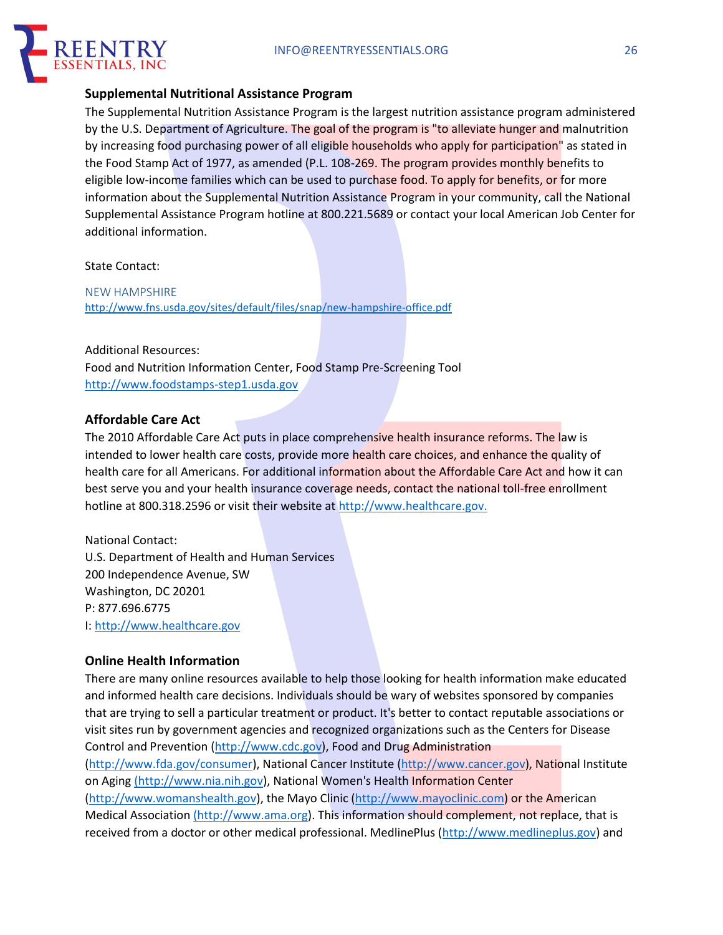

## **Supplemental Nutritional Assistance Program**

The Supplemental Nutrition Assistance Program is the largest nutrition assistance program administered by the U.S. Department of Agriculture. The goal of the program is "to alleviate hunger and malnutrition by increasing food purchasing power of all eligible households who apply for participation" as stated in the Food Stamp Act of 1977, as amended (P.L. 108-269. The program provides monthly benefits to eligible low-income families which can be used to purchase food. To apply for benefits, or for more information about the Supplemental Nutrition Assistance Program in your community, call the National Supplemental Assistance Program hotline at 800.221.5689 or contact your local American Job Center for additional information.

#### State Contact:

NEW HAMPSHIRE http://www.fns.usda.gov/sites/default/files/snap/new-hampshire-office.pdf

#### Additional Resources:

Food and Nutrition Information Center, Food Stamp Pre-Screening Tool http://www.foodstamps-step1.usda.gov

#### **Affordable Care Act**

The 2010 Affordable Care Act puts in place comprehensive health insurance reforms. The law is intended to lower health care costs, provide more health care choices, and enhance the quality of health care for all Americans. For additional information about the Affordable Care Act and how it can best serve you and your health insurance coverage needs, contact the national toll-free enrollment hotline at 800.318.2596 or visit their website at http://www.healthcare.gov.

## National Contact:

U.S. Department of Health and Human Services 200 Independence Avenue, SW Washington, DC 20201 P: 877.696.6775 I: http://www.healthcare.gov

#### **Online Health Information**

There are many online resources available to help those looking for health information make educated and informed health care decisions. Individuals should be wary of websites sponsored by companies that are trying to sell a particular treatment or product. It's better to contact reputable associations or visit sites run by government agencies and recognized organizations such as the Centers for Disease Control and Prevention (http://www.cdc.gov), Food and Drug Administration (http://www.fda.gov/consumer), National Cancer Institute (http://www.cancer.gov), National Institute on Aging (http://www.nia.nih.gov), National Women's Health Information Center (http://www.womanshealth.gov), the Mayo Clinic (http://www.mayoclinic.com) or the American Medical Association (http://www.ama.org). This information should complement, not replace, that is received from a doctor or other medical professional. MedlinePlus (http://www.medlineplus.gov) and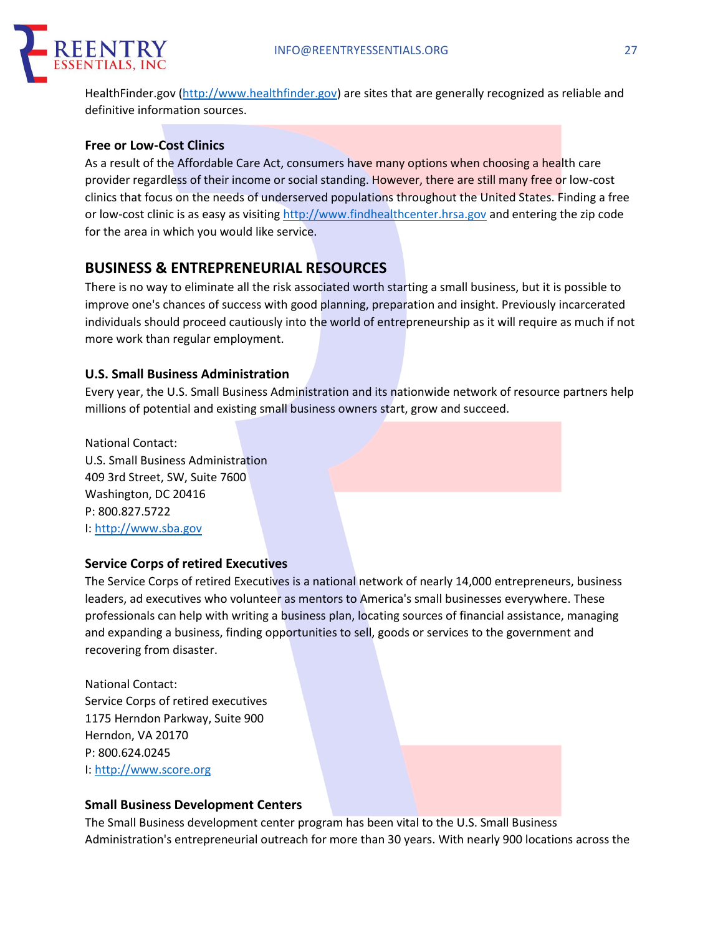

HealthFinder.gov (http://www.healthfinder.gov) are sites that are generally recognized as reliable and definitive information sources.

## **Free or Low-Cost Clinics**

As a result of the Affordable Care Act, consumers have many options when choosing a health care provider regardless of their income or social standing. However, there are still many free or low-cost clinics that focus on the needs of underserved populations throughout the United States. Finding a free or low-cost clinic is as easy as visiting http://www.findhealthcenter.hrsa.gov and entering the zip code for the area in which you would like service.

# **BUSINESS & ENTREPRENEURIAL RESOURCES**

There is no way to eliminate all the risk associated worth starting a small business, but it is possible to improve one's chances of success with good planning, preparation and insight. Previously incarcerated individuals should proceed cautiously into the world of entrepreneurship as it will require as much if not more work than regular employment.

## **U.S. Small Business Administration**

Every year, the U.S. Small Business Administration and its nationwide network of resource partners help millions of potential and existing small business owners start, grow and succeed.

National Contact:

U.S. Small Business Administration 409 3rd Street, SW, Suite 7600 Washington, DC 20416 P: 800.827.5722 I: http://www.sba.gov

#### **Service Corps of retired Executives**

The Service Corps of retired Executives is a national network of nearly 14,000 entrepreneurs, business leaders, ad executives who volunteer as mentors to America's small businesses everywhere. These professionals can help with writing a business plan, locating sources of financial assistance, managing and expanding a business, finding opportunities to sell, goods or services to the government and recovering from disaster.

National Contact: Service Corps of retired executives 1175 Herndon Parkway, Suite 900 Herndon, VA 20170 P: 800.624.0245 I: http://www.score.org

## **Small Business Development Centers**

The Small Business development center program has been vital to the U.S. Small Business Administration's entrepreneurial outreach for more than 30 years. With nearly 900 locations across the